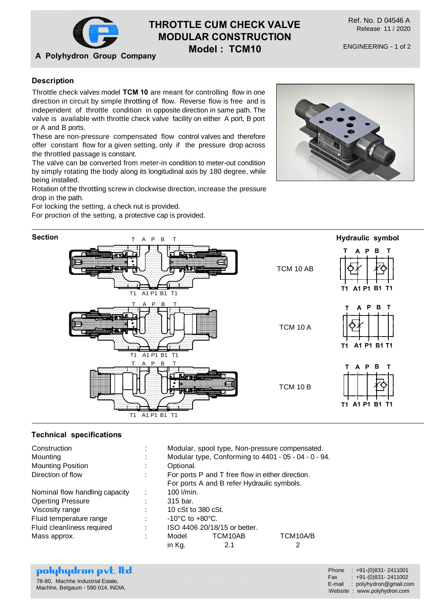

# **THROTTLE CUM CHECK VALVE MODULAR CONSTRUCTION**

**Model : TCM10**

# **Description**

Throttle check valves model **TCM 10** are meant for controlling flow in one direction in circuit by simple throttling of flow. Reverse flow is free and is independent of throttle condition in opposite direction in same path. The valve is available with throttle check valve facility on either A port, B port or A and B ports.

These are non-pressure compensated flow control valves and therefore offer constant flow for a given setting, only if the pressure drop across the throttled passage is constant.

The valve can be converted from meter-in condition to meter-out condition by simply rotating the body along its longitudinal axis by 180 degree, while being installed.

Rotation of the throttling screw in clockwise direction, increase the pressure drop in the path.

For locking the setting, a check nut is provided.

For proction of the setting, a protective cap is provided.





# **Technical specifications**

| Construction                   | ٠ | Modular, spool type, Non-pressure compensated.                                                 |         |          |
|--------------------------------|---|------------------------------------------------------------------------------------------------|---------|----------|
| Mounting                       |   | Modular type, Conforming to 4401 - 05 - 04 - 0 - 94.                                           |         |          |
| <b>Mounting Position</b>       |   | Optional.                                                                                      |         |          |
| Direction of flow              |   | For ports P and T free flow in either direction.<br>For ports A and B refer Hydraulic symbols. |         |          |
|                                |   |                                                                                                |         |          |
| Nominal flow handling capacity | t | 100 l/min.                                                                                     |         |          |
| <b>Operting Pressure</b>       |   | 315 bar.                                                                                       |         |          |
| Viscosity range                |   | 10 cSt to 380 cSt.                                                                             |         |          |
| Fluid temperature range        |   | $-10^{\circ}$ C to $+80^{\circ}$ C.                                                            |         |          |
| Fluid cleanliness required     | ٠ | ISO 4406 20/18/15 or better.                                                                   |         |          |
| Mass approx.                   | ٠ | Model                                                                                          | TCM10AB | TCM10A/B |
|                                |   | in Kg.                                                                                         | 2.1     |          |

| polyhydron pvt. Itd.              | Phone : $+91-(0)831-2411001$          |
|-----------------------------------|---------------------------------------|
| 78-80, Machhe Industrial Estate,  | $\text{Fax}$ : $+91-(0)831 - 2411002$ |
| Machhe, Belgaum - 590 014. INDIA. | E-mail: polyhydron@gmail.com          |
|                                   | Website: www.polyhydron.com           |